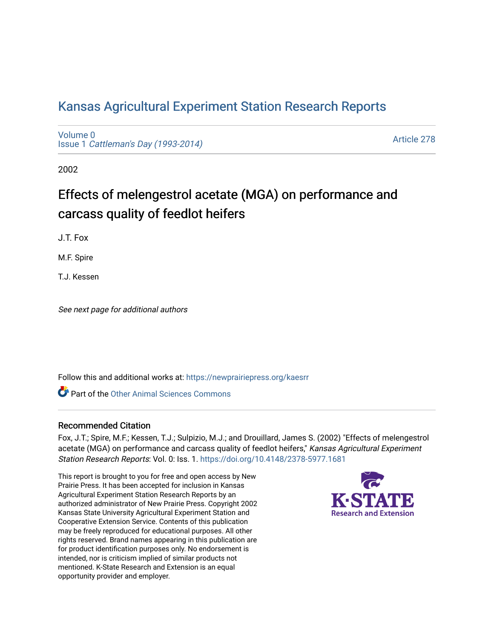## [Kansas Agricultural Experiment Station Research Reports](https://newprairiepress.org/kaesrr)

[Volume 0](https://newprairiepress.org/kaesrr/vol0) Issue 1 [Cattleman's Day \(1993-2014\)](https://newprairiepress.org/kaesrr/vol0/iss1) 

[Article 278](https://newprairiepress.org/kaesrr/vol0/iss1/278) 

2002

# Effects of melengestrol acetate (MGA) on performance and carcass quality of feedlot heifers

J.T. Fox

M.F. Spire

T.J. Kessen

See next page for additional authors

Follow this and additional works at: [https://newprairiepress.org/kaesrr](https://newprairiepress.org/kaesrr?utm_source=newprairiepress.org%2Fkaesrr%2Fvol0%2Fiss1%2F278&utm_medium=PDF&utm_campaign=PDFCoverPages) 

**C** Part of the [Other Animal Sciences Commons](http://network.bepress.com/hgg/discipline/82?utm_source=newprairiepress.org%2Fkaesrr%2Fvol0%2Fiss1%2F278&utm_medium=PDF&utm_campaign=PDFCoverPages)

#### Recommended Citation

Fox, J.T.; Spire, M.F.; Kessen, T.J.; Sulpizio, M.J.; and Drouillard, James S. (2002) "Effects of melengestrol acetate (MGA) on performance and carcass quality of feedlot heifers," Kansas Agricultural Experiment Station Research Reports: Vol. 0: Iss. 1.<https://doi.org/10.4148/2378-5977.1681>

This report is brought to you for free and open access by New Prairie Press. It has been accepted for inclusion in Kansas Agricultural Experiment Station Research Reports by an authorized administrator of New Prairie Press. Copyright 2002 Kansas State University Agricultural Experiment Station and Cooperative Extension Service. Contents of this publication may be freely reproduced for educational purposes. All other rights reserved. Brand names appearing in this publication are for product identification purposes only. No endorsement is intended, nor is criticism implied of similar products not mentioned. K-State Research and Extension is an equal opportunity provider and employer.

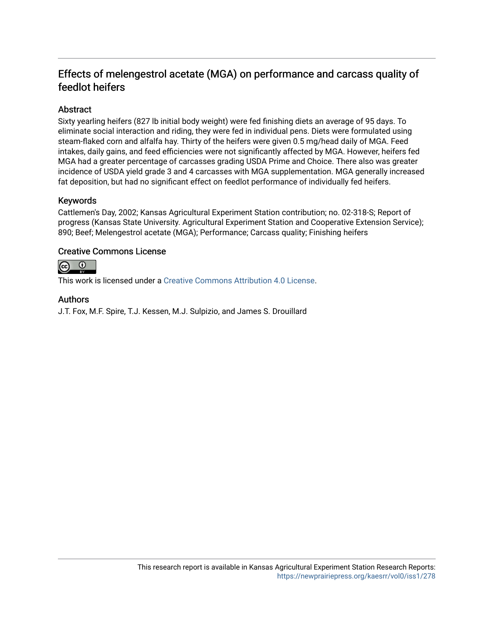### Effects of melengestrol acetate (MGA) on performance and carcass quality of feedlot heifers

#### **Abstract**

Sixty yearling heifers (827 lb initial body weight) were fed finishing diets an average of 95 days. To eliminate social interaction and riding, they were fed in individual pens. Diets were formulated using steam-flaked corn and alfalfa hay. Thirty of the heifers were given 0.5 mg/head daily of MGA. Feed intakes, daily gains, and feed efficiencies were not significantly affected by MGA. However, heifers fed MGA had a greater percentage of carcasses grading USDA Prime and Choice. There also was greater incidence of USDA yield grade 3 and 4 carcasses with MGA supplementation. MGA generally increased fat deposition, but had no significant effect on feedlot performance of individually fed heifers.

#### Keywords

Cattlemen's Day, 2002; Kansas Agricultural Experiment Station contribution; no. 02-318-S; Report of progress (Kansas State University. Agricultural Experiment Station and Cooperative Extension Service); 890; Beef; Melengestrol acetate (MGA); Performance; Carcass quality; Finishing heifers

#### Creative Commons License



This work is licensed under a [Creative Commons Attribution 4.0 License](https://creativecommons.org/licenses/by/4.0/).

#### Authors

J.T. Fox, M.F. Spire, T.J. Kessen, M.J. Sulpizio, and James S. Drouillard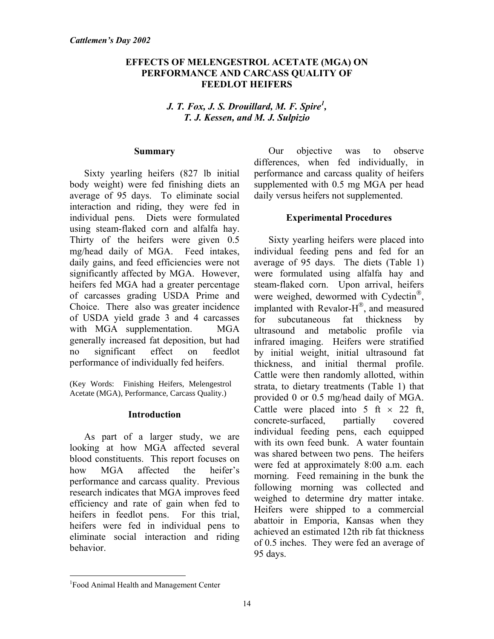#### **EFFECTS OF MELENGESTROL ACETATE (MGA) ON PERFORMANCE AND CARCASS QUALITY OF FEEDLOT HEIFERS**

#### *J. T. Fox, J. S. Drouillard, M. F. Spire<sup>1</sup> , T. J. Kessen, and M. J. Sulpizio*

#### **Summary**

Sixty yearling heifers (827 lb initial body weight) were fed finishing diets an average of 95 days. To eliminate social interaction and riding, they were fed in individual pens. Diets were formulated using steam-flaked corn and alfalfa hay. Thirty of the heifers were given 0.5 mg/head daily of MGA. Feed intakes, daily gains, and feed efficiencies were not significantly affected by MGA. However, heifers fed MGA had a greater percentage of carcasses grading USDA Prime and Choice. There also was greater incidence of USDA yield grade 3 and 4 carcasses with MGA supplementation. MGA generally increased fat deposition, but had no significant effect on feedlot performance of individually fed heifers.

(Key Words: Finishing Heifers, Melengestrol Acetate (MGA), Performance, Carcass Quality.)

#### **Introduction**

As part of a larger study, we are looking at how MGA affected several blood constituents. This report focuses on how MGA affected the heifer's performance and carcass quality. Previous research indicates that MGA improves feed efficiency and rate of gain when fed to heifers in feedlot pens. For this trial, heifers were fed in individual pens to eliminate social interaction and riding behavior.

Our objective was to observe differences, when fed individually, in performance and carcass quality of heifers supplemented with 0.5 mg MGA per head daily versus heifers not supplemented.

#### **Experimental Procedures**

Sixty yearling heifers were placed into individual feeding pens and fed for an average of 95 days. The diets (Table 1) were formulated using alfalfa hay and steam-flaked corn. Upon arrival, heifers were weighed, dewormed with Cydectin<sup>®</sup>, implanted with Revalor- $H^{\textcircled{e}}$ , and measured for subcutaneous fat thickness by ultrasound and metabolic profile via infrared imaging. Heifers were stratified by initial weight, initial ultrasound fat thickness, and initial thermal profile. Cattle were then randomly allotted, within strata, to dietary treatments (Table 1) that provided 0 or 0.5 mg/head daily of MGA. Cattle were placed into 5 ft  $\times$  22 ft, concrete-surfaced, partially covered individual feeding pens, each equipped with its own feed bunk. A water fountain was shared between two pens. The heifers were fed at approximately 8:00 a.m. each morning. Feed remaining in the bunk the following morning was collected and weighed to determine dry matter intake. Heifers were shipped to a commercial abattoir in Emporia, Kansas when they achieved an estimated 12th rib fat thickness of 0.5 inches. They were fed an average of 95 days.

l

<sup>&</sup>lt;sup>1</sup> Food Animal Health and Management Center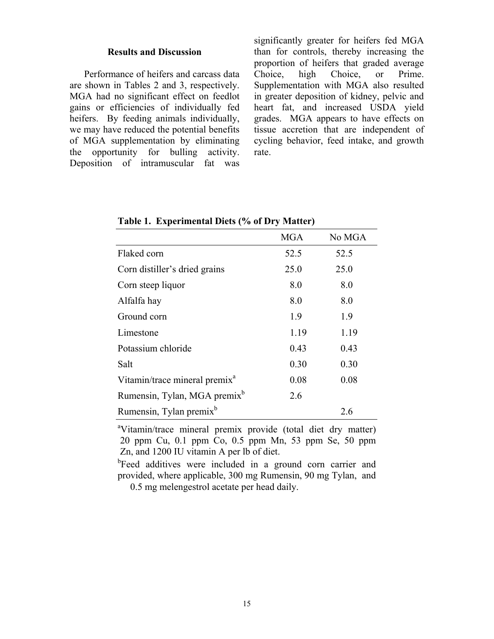#### **Results and Discussion**

Performance of heifers and carcass data are shown in Tables 2 and 3, respectively. MGA had no significant effect on feedlot gains or efficiencies of individually fed heifers. By feeding animals individually, we may have reduced the potential benefits of MGA supplementation by eliminating the opportunity for bulling activity. Deposition of intramuscular fat was significantly greater for heifers fed MGA than for controls, thereby increasing the proportion of heifers that graded average Choice, high Choice, or Prime. Supplementation with MGA also resulted in greater deposition of kidney, pelvic and heart fat, and increased USDA yield grades. MGA appears to have effects on tissue accretion that are independent of cycling behavior, feed intake, and growth rate.

|                                           | <b>MGA</b> | No MGA |
|-------------------------------------------|------------|--------|
| Flaked corn                               | 52.5       | 52.5   |
| Corn distiller's dried grains             | 25.0       | 25.0   |
| Corn steep liquor                         | 8.0        | 8.0    |
| Alfalfa hay                               | 8.0        | 8.0    |
| Ground corn                               | 1.9        | 1.9    |
| Limestone                                 | 1.19       | 1.19   |
| Potassium chloride                        | 0.43       | 0.43   |
| Salt                                      | 0.30       | 0.30   |
| Vitamin/trace mineral premix <sup>a</sup> | 0.08       | 0.08   |
| Rumensin, Tylan, MGA premix <sup>b</sup>  | 2.6        |        |
| Rumensin, Tylan premix <sup>b</sup>       |            | 26     |

**Table 1. Experimental Diets (% of Dry Matter)** 

<sup>a</sup>Vitamin/trace mineral premix provide (total diet dry matter) 20 ppm Cu, 0.1 ppm Co, 0.5 ppm Mn, 53 ppm Se, 50 ppm Zn, and 1200 IU vitamin A per lb of diet.

<sup>b</sup>Feed additives were included in a ground corn carrier and provided, where applicable, 300 mg Rumensin, 90 mg Tylan, and 0.5 mg melengestrol acetate per head daily.